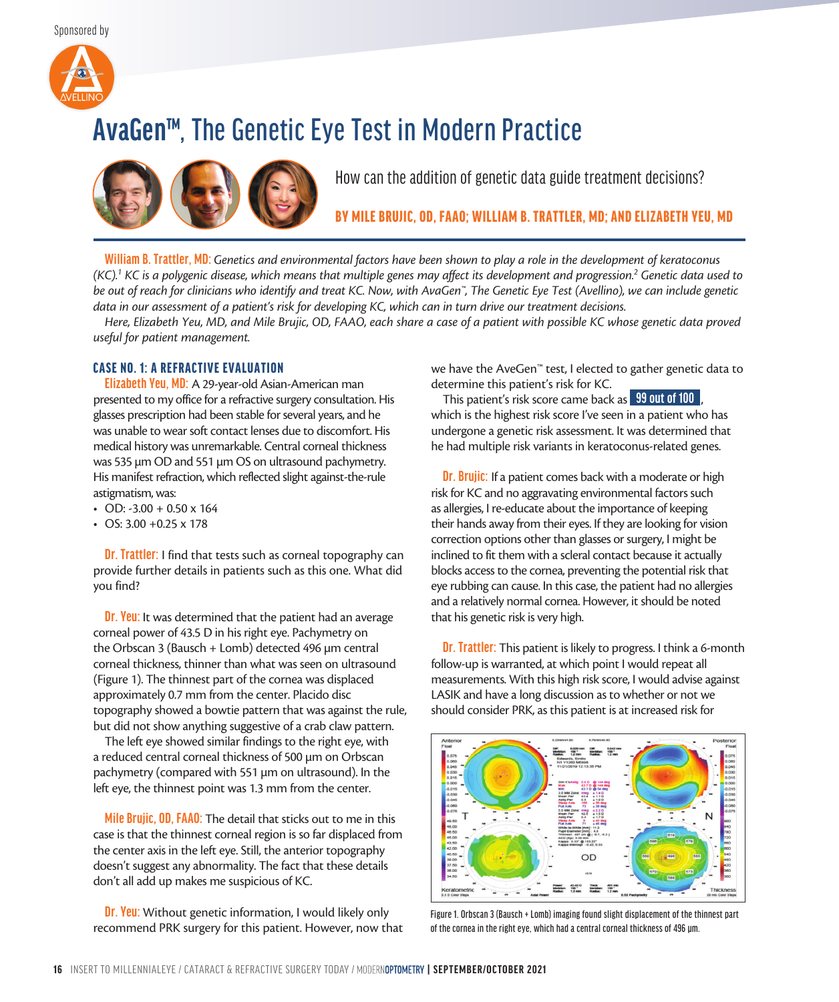Sponsored by



# **AvaGen™**, The Genetic Eye Test in Modern Practice



How can the addition of genetic data guide treatment decisions?

BY MILE BRUJIC, OD, FAAO; WILLIAM B. TRATTLER, MD; AND ELIZABETH YEU, MD

**William B. Trattler, MD:** *Genetics and environmental factors have been shown to play a role in the development of keratoconus (KC).1 KC is a polygenic disease, which means that multiple genes may affect its development and progression.2 Genetic data used to be out of reach for clinicians who identify and treat KC. Now, with AvaGen™, The Genetic Eye Test (Avellino), we can include genetic data in our assessment of a patient's risk for developing KC, which can in turn drive our treatment decisions.* 

*Here, Elizabeth Yeu, MD, and Mile Brujic, OD, FAAO, each share a case of a patient with possible KC whose genetic data proved useful for patient management.* 

## CASE NO. 1: A REFRACTIVE EVALUATION

**Elizabeth Yeu, MD:** A 29-year-old Asian-American man presented to my office for a refractive surgery consultation. His glasses prescription had been stable for several years, and he was unable to wear soft contact lenses due to discomfort. His medical history was unremarkable. Central corneal thickness was 535  $\mu$ m OD and 551  $\mu$ m OS on ultrasound pachymetry. His manifest refraction, which reflected slight against-the-rule astigmatism, was:

- $\cdot$  OD: -3.00 + 0.50 x 164
- OS: 3.00 +0.25 x 178

**Dr. Trattler:** I find that tests such as corneal topography can provide further details in patients such as this one. What did you find?

**Dr. Yeu:** It was determined that the patient had an average corneal power of 43.5 D in his right eye. Pachymetry on the Orbscan 3 (Bausch + Lomb) detected 496 µm central corneal thickness, thinner than what was seen on ultrasound (Figure 1). The thinnest part of the cornea was displaced approximately 0.7 mm from the center. Placido disc topography showed a bowtie pattern that was against the rule, but did not show anything suggestive of a crab claw pattern.

The left eye showed similar findings to the right eye, with a reduced central corneal thickness of 500 µm on Orbscan pachymetry (compared with 551 µm on ultrasound). In the left eye, the thinnest point was 1.3 mm from the center.

**Mile Brujic, OD, FAAO:** The detail that sticks out to me in this case is that the thinnest corneal region is so far displaced from the center axis in the left eye. Still, the anterior topography doesn't suggest any abnormality. The fact that these details don't all add up makes me suspicious of KC.

**Dr. Yeu:** Without genetic information, I would likely only recommend PRK surgery for this patient. However, now that we have the AveGen™ test, I elected to gather genetic data to determine this patient's risk for KC.

This patient's risk score came back as **99 out of 100** , which is the highest risk score I've seen in a patient who has undergone a genetic risk assessment. It was determined that he had multiple risk variants in keratoconus-related genes.

**Dr. Brujic:** If a patient comes back with a moderate or high risk for KC and no aggravating environmental factors such as allergies, I re-educate about the importance of keeping their hands away from their eyes. If they are looking for vision correction options other than glasses or surgery, I might be inclined to fit them with a scleral contact because it actually blocks access to the cornea, preventing the potential risk that eye rubbing can cause. In this case, the patient had no allergies and a relatively normal cornea. However, it should be noted that his genetic risk is very high.

**Dr. Trattler:** This patient is likely to progress. I think a 6-month follow-up is warranted, at which point I would repeat all measurements. With this high risk score, I would advise against LASIK and have a long discussion as to whether or not we should consider PRK, as this patient is at increased risk for



Figure 1. Orbscan 3 (Bausch + Lomb) imaging found slight displacement of the thinnest part of the cornea in the right eye, which had a central corneal thickness of 496 µm.